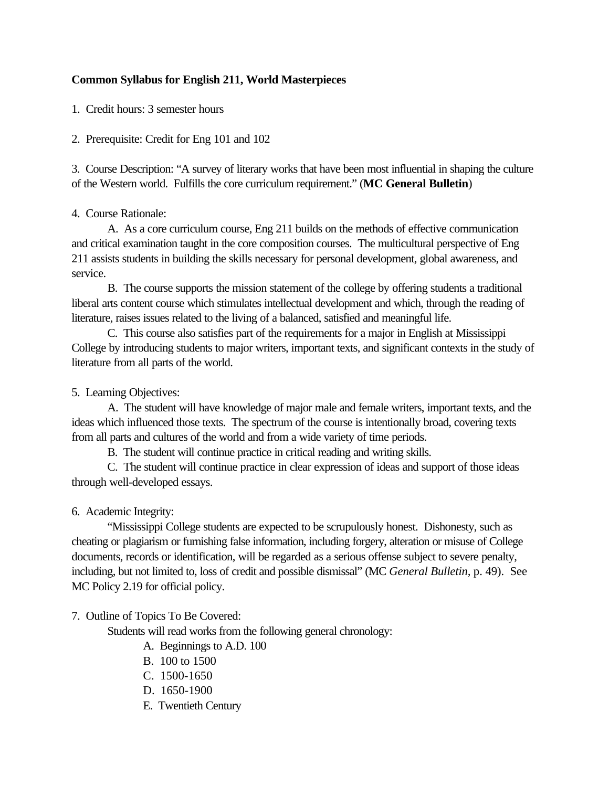## **Common Syllabus for English 211, World Masterpieces**

1. Credit hours: 3 semester hours

2. Prerequisite: Credit for Eng 101 and 102

3. Course Description: "A survey of literary works that have been most influential in shaping the culture of the Western world. Fulfills the core curriculum requirement." (**MC General Bulletin**)

## 4. Course Rationale:

A. As a core curriculum course, Eng 211 builds on the methods of effective communication and critical examination taught in the core composition courses. The multicultural perspective of Eng 211 assists students in building the skills necessary for personal development, global awareness, and service.

B. The course supports the mission statement of the college by offering students a traditional liberal arts content course which stimulates intellectual development and which, through the reading of literature, raises issues related to the living of a balanced, satisfied and meaningful life.

C. This course also satisfies part of the requirements for a major in English at Mississippi College by introducing students to major writers, important texts, and significant contexts in the study of literature from all parts of the world.

5. Learning Objectives:

A. The student will have knowledge of major male and female writers, important texts, and the ideas which influenced those texts. The spectrum of the course is intentionally broad, covering texts from all parts and cultures of the world and from a wide variety of time periods.

B. The student will continue practice in critical reading and writing skills.

C. The student will continue practice in clear expression of ideas and support of those ideas through well-developed essays.

6. Academic Integrity:

"Mississippi College students are expected to be scrupulously honest. Dishonesty, such as cheating or plagiarism or furnishing false information, including forgery, alteration or misuse of College documents, records or identification, will be regarded as a serious offense subject to severe penalty, including, but not limited to, loss of credit and possible dismissal" (MC *General Bulletin,* p. 49). See MC Policy 2.19 for official policy.

7. Outline of Topics To Be Covered:

Students will read works from the following general chronology:

A. Beginnings to A.D. 100

- B. 100 to 1500
- C. 1500-1650
- D. 1650-1900
- E. Twentieth Century